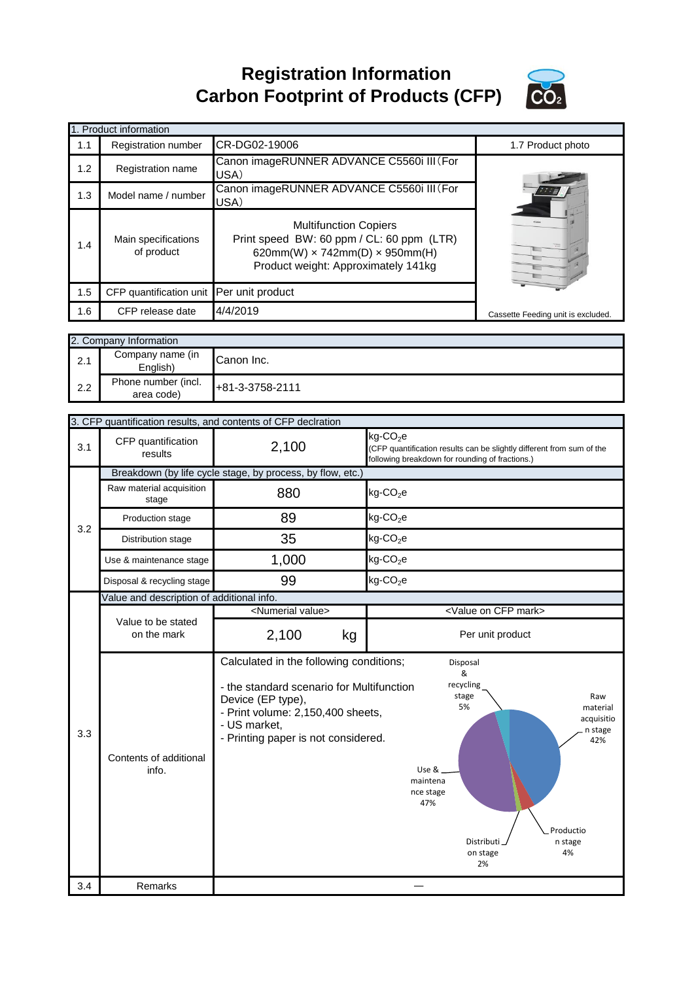**Registration Information Carbon Footprint of Products (CFP)**



|     | 1. Product information                   |                                                                                                                                                                  |                                    |
|-----|------------------------------------------|------------------------------------------------------------------------------------------------------------------------------------------------------------------|------------------------------------|
| 1.1 | Registration number                      | CR-DG02-19006                                                                                                                                                    | 1.7 Product photo                  |
| 1.2 | Registration name                        | Canon imageRUNNER ADVANCE C5560i III (For<br>USA)                                                                                                                |                                    |
| 1.3 | Model name / number                      | Canon imageRUNNER ADVANCE C5560i III (For<br>USA)                                                                                                                |                                    |
| 1.4 | Main specifications<br>of product        | <b>Multifunction Copiers</b><br>Print speed BW: 60 ppm / CL: 60 ppm (LTR)<br>620mm(W) $\times$ 742mm(D) $\times$ 950mm(H)<br>Product weight: Approximately 141kg |                                    |
| 1.5 | CFP quantification unit Per unit product |                                                                                                                                                                  |                                    |
| 1.6 | CFP release date                         | 4/4/2019                                                                                                                                                         | Cassette Feeding unit is excluded. |

|     | 2. Company Information            |                 |  |
|-----|-----------------------------------|-----------------|--|
| 2.1 | Company name (in<br>Enalish)      | Canon Inc.      |  |
| 2.2 | Phone number (incl.<br>area code) | +81-3-3758-2111 |  |

|     |                                                            | 3. CFP quantification results, and contents of CFP declration                                                                                                                                         |                                                                                                                                                     |  |  |
|-----|------------------------------------------------------------|-------------------------------------------------------------------------------------------------------------------------------------------------------------------------------------------------------|-----------------------------------------------------------------------------------------------------------------------------------------------------|--|--|
| 3.1 | CFP quantification<br>results                              | 2,100                                                                                                                                                                                                 | $kg$ -CO <sub>2</sub> e<br>(CFP quantification results can be slightly different from sum of the<br>following breakdown for rounding of fractions.) |  |  |
|     | Breakdown (by life cycle stage, by process, by flow, etc.) |                                                                                                                                                                                                       |                                                                                                                                                     |  |  |
|     | Raw material acquisition<br>stage                          | 880                                                                                                                                                                                                   | $kg$ -CO <sub>2</sub> e                                                                                                                             |  |  |
| 3.2 | Production stage                                           | 89                                                                                                                                                                                                    | $kg$ -CO <sub>2</sub> e                                                                                                                             |  |  |
|     | Distribution stage                                         | 35                                                                                                                                                                                                    | $kg$ -CO <sub>2</sub> e                                                                                                                             |  |  |
|     | Use & maintenance stage                                    | 1,000                                                                                                                                                                                                 | $kg$ -CO <sub>2</sub> e                                                                                                                             |  |  |
|     | Disposal & recycling stage                                 | 99                                                                                                                                                                                                    | $kg$ -CO <sub>2</sub> e                                                                                                                             |  |  |
|     | Value and description of additional info.                  |                                                                                                                                                                                                       |                                                                                                                                                     |  |  |
|     |                                                            | <numerial value=""></numerial>                                                                                                                                                                        | <value cfp="" mark="" on=""></value>                                                                                                                |  |  |
|     | Value to be stated<br>on the mark                          | 2,100<br>kg                                                                                                                                                                                           | Per unit product                                                                                                                                    |  |  |
| 3.3 | Contents of additional<br>info.                            | Calculated in the following conditions;<br>- the standard scenario for Multifunction<br>Device (EP type),<br>- Print volume: 2,150,400 sheets,<br>- US market,<br>- Printing paper is not considered. | Disposal<br>&<br>recycling<br>stage<br>Raw<br>5%<br>material<br>acquisitio<br>n stage<br>42%<br>Use &<br>maintena<br>nce stage<br>47%<br>Productio  |  |  |
| 3.4 | Remarks                                                    |                                                                                                                                                                                                       | Distributi<br>n stage<br>4%<br>on stage<br>2%                                                                                                       |  |  |